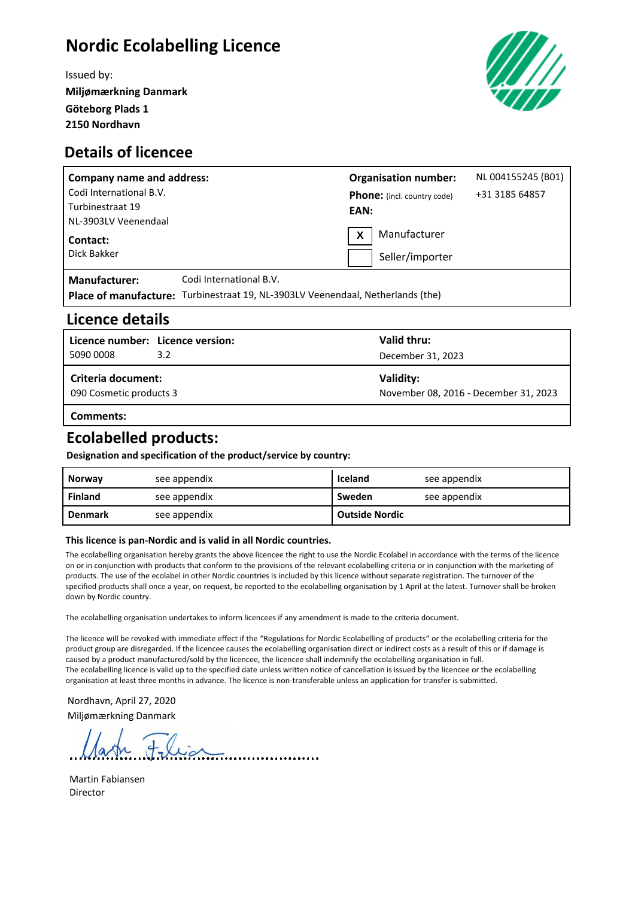# **Nordic Ecolabelling Licence**

Issued by: **Miljømærkning Danmark Göteborg Plads 1 2150 Nordhavn**





| <b>Company name and address:</b> |                                                                                 |      | <b>Organisation number:</b>        | NL 004155245 (B01) |
|----------------------------------|---------------------------------------------------------------------------------|------|------------------------------------|--------------------|
| Codi International B.V.          |                                                                                 |      | <b>Phone:</b> (incl. country code) | +31 3185 64857     |
| Turbinestraat 19                 |                                                                                 | EAN: |                                    |                    |
| NL-3903LV Veenendaal             |                                                                                 |      |                                    |                    |
| Contact:                         |                                                                                 |      | Manufacturer                       |                    |
| Dick Bakker                      |                                                                                 |      | Seller/importer                    |                    |
| <b>Manufacturer:</b>             | Codi International B.V.                                                         |      |                                    |                    |
|                                  | Place of manufacture: Turbinestraat 19, NL-3903LV Veenendaal, Netherlands (the) |      |                                    |                    |

### **Licence details**

| Licence number: Licence version:              |     | Valid thru:                                        |  |
|-----------------------------------------------|-----|----------------------------------------------------|--|
| 5090 0008                                     | 3.2 | December 31, 2023                                  |  |
| Criteria document:<br>090 Cosmetic products 3 |     | Validity:<br>November 08, 2016 - December 31, 2023 |  |
|                                               |     |                                                    |  |

#### **Comments:**

### **Ecolabelled products:**

**Designation and specification of the product/service by country:**

| Norway         | see appendix | <b>Iceland</b>        | see appendix |
|----------------|--------------|-----------------------|--------------|
| <b>Finland</b> | see appendix | Sweden                | see appendix |
| <b>Denmark</b> | see appendix | <b>Outside Nordic</b> |              |

#### **This licence is pan-Nordic and is valid in all Nordic countries.**

The ecolabelling organisation hereby grants the above licencee the right to use the Nordic Ecolabel in accordance with the terms of the licence on or in conjunction with products that conform to the provisions of the relevant ecolabelling criteria or in conjunction with the marketing of products. The use of the ecolabel in other Nordic countries is included by this licence without separate registration. The turnover of the specified products shall once a year, on request, be reported to the ecolabelling organisation by 1 April at the latest. Turnover shall be broken down by Nordic country.

The ecolabelling organisation undertakes to inform licencees if any amendment is made to the criteria document.

The licence will be revoked with immediate effect if the "Regulations for Nordic Ecolabelling of products" or the ecolabelling criteria for the product group are disregarded. If the licencee causes the ecolabelling organisation direct or indirect costs as a result of this or if damage is caused by a product manufactured/sold by the licencee, the licencee shall indemnify the ecolabelling organisation in full. The ecolabelling licence is valid up to the specified date unless written notice of cancellation is issued by the licencee or the ecolabelling organisation at least three months in advance. The licence is non-transferable unless an application for transfer is submitted.

Nordhavn, April 27, 2020 Miljømærkning Danmark

Martin Fabiansen Director